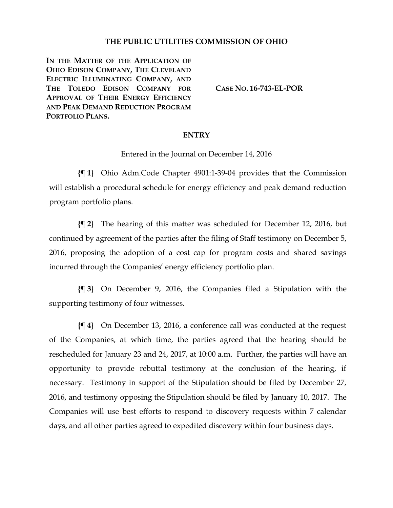## **THE PUBLIC UTILITIES COMMISSION OF OHIO**

**IN THE MATTER OF THE APPLICATION OF OHIO EDISON COMPANY, THE CLEVELAND ELECTRIC ILLUMINATING COMPANY, AND THE TOLEDO EDISON COMPANY FOR APPROVAL OF THEIR ENERGY EFFICIENCY AND PEAK DEMAND REDUCTION PROGRAM PORTFOLIO PLANS.**

**CASE NO. [16-743-EL-POR](http://dis.puc.state.oh.us/CaseRecord.aspx?CaseNo=16-743)**

## **ENTRY**

Entered in the Journal on December 14, 2016

**{¶ 1}** Ohio Adm.Code Chapter [4901:1-39-04](http://codes.ohio.gov/oac/4901%3A1-39-04) provides that the Commission will establish a procedural schedule for energy efficiency and peak demand reduction program portfolio plans.

**{¶ 2}** The hearing of this matter was scheduled for December 12, 2016, but continued by agreement of the parties after the filing of Staff testimony on December 5, 2016, proposing the adoption of a cost cap for program costs and shared savings incurred through the Companies' energy efficiency portfolio plan.

**{¶ 3}** On December 9, 2016, the Companies filed a Stipulation with the supporting testimony of four witnesses.

**{¶ 4}** On December 13, 2016, a conference call was conducted at the request of the Companies, at which time, the parties agreed that the hearing should be rescheduled for January 23 and 24, 2017, at 10:00 a.m. Further, the parties will have an opportunity to provide rebuttal testimony at the conclusion of the hearing, if necessary. Testimony in support of the Stipulation should be filed by December 27, 2016, and testimony opposing the Stipulation should be filed by January 10, 2017. The Companies will use best efforts to respond to discovery requests within 7 calendar days, and all other parties agreed to expedited discovery within four business days.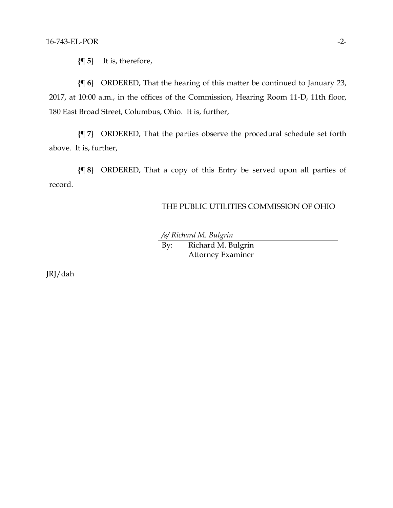**{¶ 5}** It is, therefore,

**{¶ 6}** ORDERED, That the hearing of this matter be continued to January 23, 2017, at 10:00 a.m., in the offices of the Commission, Hearing Room 11-D, 11th floor, 180 East Broad Street, Columbus, Ohio. It is, further,

**{¶ 7}** ORDERED, That the parties observe the procedural schedule set forth above. It is, further,

**{¶ 8}** ORDERED, That a copy of this Entry be served upon all parties of record.

## THE PUBLIC UTILITIES COMMISSION OF OHIO

*/s/ Richard M. Bulgrin*

By: Richard M. Bulgrin Attorney Examiner

JRJ/dah